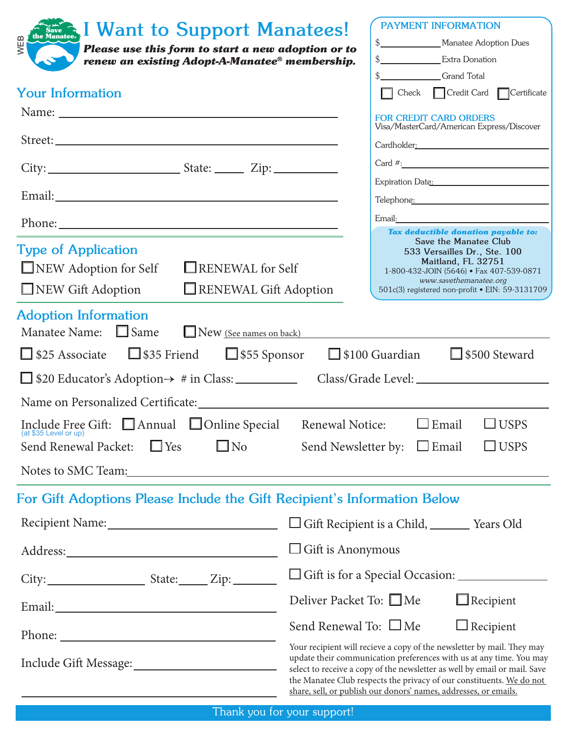| <b>Research I Want to Support Manatees!</b><br>WEE<br>Please use this form to start a new adoption or to<br>renew an existing Adopt-A-Manatee® membership.                                                                         |                                                                                     | PAYMENT INFORMATION<br>\$                                                                                                                                                                                                                                                                          | \$____________________Manatee Adoption Dues                                                                                                                                                                                                             |
|------------------------------------------------------------------------------------------------------------------------------------------------------------------------------------------------------------------------------------|-------------------------------------------------------------------------------------|----------------------------------------------------------------------------------------------------------------------------------------------------------------------------------------------------------------------------------------------------------------------------------------------------|---------------------------------------------------------------------------------------------------------------------------------------------------------------------------------------------------------------------------------------------------------|
| <b>Your Information</b>                                                                                                                                                                                                            |                                                                                     | \$<br>Grand Total                                                                                                                                                                                                                                                                                  | Check Credit Card Certificate                                                                                                                                                                                                                           |
|                                                                                                                                                                                                                                    |                                                                                     | <b>FOR CREDIT CARD ORDERS</b>                                                                                                                                                                                                                                                                      |                                                                                                                                                                                                                                                         |
|                                                                                                                                                                                                                                    |                                                                                     |                                                                                                                                                                                                                                                                                                    | Visa/MasterCard/American Express/Discover                                                                                                                                                                                                               |
|                                                                                                                                                                                                                                    |                                                                                     |                                                                                                                                                                                                                                                                                                    | Cardholder: 2008                                                                                                                                                                                                                                        |
|                                                                                                                                                                                                                                    |                                                                                     |                                                                                                                                                                                                                                                                                                    | $Card$ #: $\qquad \qquad$                                                                                                                                                                                                                               |
|                                                                                                                                                                                                                                    |                                                                                     |                                                                                                                                                                                                                                                                                                    | Expiration Date: 2008<br>Telephone: Telephone and the state of the state of the state of the state of the state of the state of the state of the state of the state of the state of the state of the state of the state of the state of the state of th |
|                                                                                                                                                                                                                                    |                                                                                     |                                                                                                                                                                                                                                                                                                    |                                                                                                                                                                                                                                                         |
| <b>Type of Application</b><br>NEW Adoption for Self<br>RENEWAL for Self<br>$\Box$ NEW Gift Adoption<br>RENEWAL Gift Adoption                                                                                                       |                                                                                     |                                                                                                                                                                                                                                                                                                    | Tax deductible donation payable to:<br>Save the Manatee Club<br>533 Versailles Dr., Ste. 100<br>Maitland, FL 32751<br>1-800-432-JOIN (5646) · Fax 407-539-0871<br>www.savethemanatee.org<br>501c(3) registered non-profit · EIN: 59-3131709             |
| <b>Adoption Information</b><br>Manatee Name: $\Box$ Same<br>$\Box$ New (See names on back)<br>$\Box$ \$25 Associate $\Box$ \$35 Friend $\Box$ \$55 Sponsor<br>$\Box$ \$20 Educator's Adoption $\rightarrow$ # in Class: __________ |                                                                                     | $\Box$ \$100 Guardian                                                                                                                                                                                                                                                                              | $\Box$ \$500 Steward                                                                                                                                                                                                                                    |
|                                                                                                                                                                                                                                    |                                                                                     |                                                                                                                                                                                                                                                                                                    |                                                                                                                                                                                                                                                         |
| Include Free Gift: △ Annual △ Online Special<br>(at \$35 Level or up)<br>$\square$ No<br>$\Box$ Yes<br>Send Renewal Packet:                                                                                                        | Renewal Notice:<br>Send Newsletter by: $\Box$ Email                                 | $\Box$ Email                                                                                                                                                                                                                                                                                       | $\Box$ USPS<br>$\Box$ USPS                                                                                                                                                                                                                              |
| Notes to SMC Team: Notes to SMC Team:                                                                                                                                                                                              |                                                                                     |                                                                                                                                                                                                                                                                                                    |                                                                                                                                                                                                                                                         |
| For Gift Adoptions Please Include the Gift Recipient's Information Below                                                                                                                                                           |                                                                                     |                                                                                                                                                                                                                                                                                                    |                                                                                                                                                                                                                                                         |
| Recipient Name: 1988 and 1988 and 1988 and 1988 and 1988 and 1988 and 1988 and 1988 and 1988 and 1988 and 1988                                                                                                                     | □ Gift Recipient is a Child, _________ Years Old                                    |                                                                                                                                                                                                                                                                                                    |                                                                                                                                                                                                                                                         |
| $\Box$ Gift is Anonymous                                                                                                                                                                                                           |                                                                                     |                                                                                                                                                                                                                                                                                                    |                                                                                                                                                                                                                                                         |
|                                                                                                                                                                                                                                    | $\Box$ Gift is for a Special Occasion: $\_\_\_\_\_\_\_\_\_\_\_\_\_\_\_\_\_\_\_\_\_$ |                                                                                                                                                                                                                                                                                                    |                                                                                                                                                                                                                                                         |
|                                                                                                                                                                                                                                    | Deliver Packet To: □Me                                                              |                                                                                                                                                                                                                                                                                                    | $\Box$ Recipient                                                                                                                                                                                                                                        |
|                                                                                                                                                                                                                                    | Send Renewal To: $\Box$ Me                                                          |                                                                                                                                                                                                                                                                                                    | $\Box$ Recipient                                                                                                                                                                                                                                        |
|                                                                                                                                                                                                                                    |                                                                                     | Your recipient will recieve a copy of the newsletter by mail. They may<br>update their communication preferences with us at any time. You may<br>select to receive a copy of the newsletter as well by email or mail. Save<br>the Manatee Club respects the privacy of our constituents. We do not |                                                                                                                                                                                                                                                         |

share, sell, or publish our donors' names, addresses, or emails.